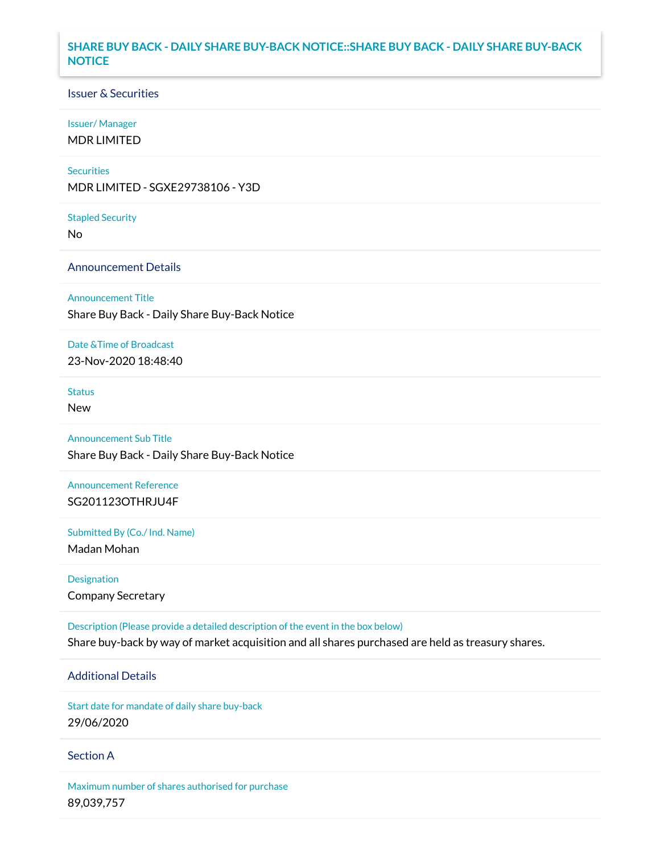## **SHARE BUY BACK - DAILY SHARE BUY-BACK NOTICE::SHARE BUY BACK - DAILY SHARE BUY-BACK NOTICE**

### Issuer & Securities

### Issuer/ Manager

MDR LIMITED

### **Securities**

MDR LIMITED - SGXE29738106 - Y3D

#### Stapled Security

No

## Announcement Details

### Announcement Title

Share Buy Back - Daily Share Buy-Back Notice

### Date &Time of Broadcast

23-Nov-2020 18:48:40

# Status

New

# Announcement Sub Title

Share Buy Back - Daily Share Buy-Back Notice

# Announcement Reference SG201123OTHRJU4F

Submitted By (Co./ Ind. Name)

Madan Mohan

Designation Company Secretary

Description (Please provide a detailed description of the event in the box below) Share buy-back by way of market acquisition and all shares purchased are held as treasury shares.

# Additional Details

Start date for mandate of daily share buy-back 29/06/2020

### Section A

Maximum number of shares authorised for purchase 89,039,757